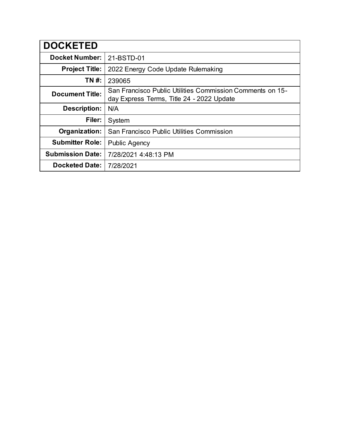| <b>DOCKETED</b>         |                                                                                                        |
|-------------------------|--------------------------------------------------------------------------------------------------------|
| <b>Docket Number:</b>   | 21-BSTD-01                                                                                             |
| <b>Project Title:</b>   | 2022 Energy Code Update Rulemaking                                                                     |
| TN #:                   | 239065                                                                                                 |
| <b>Document Title:</b>  | San Francisco Public Utilities Commission Comments on 15-<br>day Express Terms, Title 24 - 2022 Update |
| <b>Description:</b>     | N/A                                                                                                    |
| Filer:                  | System                                                                                                 |
| Organization:           | San Francisco Public Utilities Commission                                                              |
| <b>Submitter Role:</b>  | <b>Public Agency</b>                                                                                   |
| <b>Submission Date:</b> | 7/28/2021 4:48:13 PM                                                                                   |
| <b>Docketed Date:</b>   | 7/28/2021                                                                                              |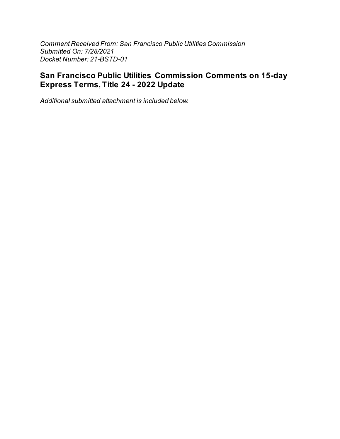Comment Received From: San Francisco Public Utilities Commission Submitted On: 7/28/2021 Docket Number: 21-BSTD-01

## San Francisco Public Utilities Commission Comments on 15-day Express Terms, Title 24 - 2022 Update

Additional submitted attachment is included below.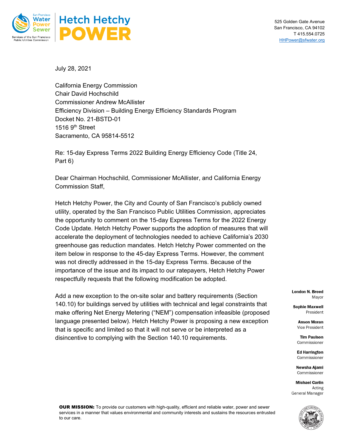

July 28, 2021

California Energy Commission Chair David Hochschild Commissioner Andrew McAllister Efficiency Division – Building Energy Efficiency Standards Program Docket No. 21-BSTD-01 1516  $9<sup>th</sup>$  Street Sacramento, CA 95814-5512

Re: 15-day Express Terms 2022 Building Energy Efficiency Code (Title 24, Part 6)

Dear Chairman Hochschild, Commissioner McAllister, and California Energy Commission Staff,

Hetch Hetchy Power, the City and County of San Francisco's publicly owned utility, operated by the San Francisco Public Utilities Commission, appreciates the opportunity to comment on the 15-day Express Terms for the 2022 Energy Code Update. Hetch Hetchy Power supports the adoption of measures that will accelerate the deployment of technologies needed to achieve California's 2030 greenhouse gas reduction mandates. Hetch Hetchy Power commented on the item below in response to the 45-day Express Terms. However, the comment was not directly addressed in the 15-day Express Terms. Because of the importance of the issue and its impact to our ratepayers, Hetch Hetchy Power respectfully requests that the following modification be adopted.

Add a new exception to the on-site solar and battery requirements (Section 140.10) for buildings served by utilities with technical and legal constraints that make offering Net Energy Metering ("NEM") compensation infeasible (proposed language presented below). Hetch Hetchy Power is proposing a new exception that is specific and limited so that it will not serve or be interpreted as a disincentive to complying with the Section 140.10 requirements.

**London N. Breed** Mayor

**Sophie Maxwell** President

> **Anson Moran** Vice President

**Tim Paulson** Commissioner

**Ed Harrington** Commissioner

Newsha Ajami Commissioner

**Michael Carlin** Acting General Manager



**OUR MISSION:** To provide our customers with high-quality, efficient and reliable water, power and sewer services in a manner that values environmental and community interests and sustains the resources entrusted to our care.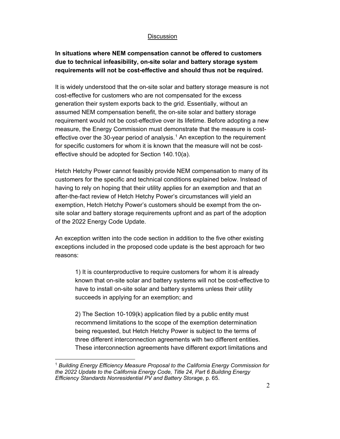## **Discussion**

## **In situations where NEM compensation cannot be offered to customers due to technical infeasibility, on-site solar and battery storage system requirements will not be cost-effective and should thus not be required.**

It is widely understood that the on-site solar and battery storage measure is not cost-effective for customers who are not compensated for the excess generation their system exports back to the grid. Essentially, without an assumed NEM compensation benefit, the on-site solar and battery storage requirement would not be cost-effective over its lifetime. Before adopting a new measure, the Energy Commission must demonstrate that the measure is cost-effective over the 30-year period of analysis.<sup>[1](#page-3-0)</sup> An exception to the requirement for specific customers for whom it is known that the measure will not be costeffective should be adopted for Section 140.10(a).

Hetch Hetchy Power cannot feasibly provide NEM compensation to many of its customers for the specific and technical conditions explained below. Instead of having to rely on hoping that their utility applies for an exemption and that an after-the-fact review of Hetch Hetchy Power's circumstances will yield an exemption, Hetch Hetchy Power's customers should be exempt from the onsite solar and battery storage requirements upfront and as part of the adoption of the 2022 Energy Code Update.

An exception written into the code section in addition to the five other existing exceptions included in the proposed code update is the best approach for two reasons:

1) It is counterproductive to require customers for whom it is already known that on-site solar and battery systems will not be cost-effective to have to install on-site solar and battery systems unless their utility succeeds in applying for an exemption; and

2) The Section 10-109(k) application filed by a public entity must recommend limitations to the scope of the exemption determination being requested, but Hetch Hetchy Power is subject to the terms of three different interconnection agreements with two different entities. These interconnection agreements have different export limitations and

<span id="page-3-0"></span><sup>1</sup> *Building Energy Efficiency Measure Proposal to the California Energy Commission for the 2022 Update to the California Energy Code, Title 24, Part 6 Building Energy Efficiency Standards Nonresidential PV and Battery Storage*, p. 65.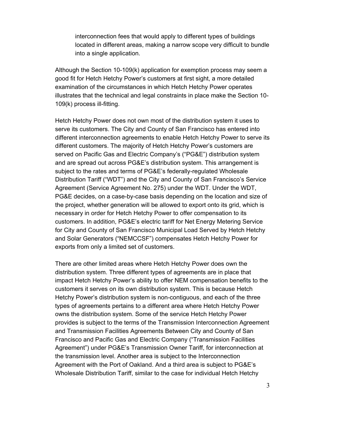interconnection fees that would apply to different types of buildings located in different areas, making a narrow scope very difficult to bundle into a single application.

Although the Section 10-109(k) application for exemption process may seem a good fit for Hetch Hetchy Power's customers at first sight, a more detailed examination of the circumstances in which Hetch Hetchy Power operates illustrates that the technical and legal constraints in place make the Section 10- 109(k) process ill-fitting.

Hetch Hetchy Power does not own most of the distribution system it uses to serve its customers. The City and County of San Francisco has entered into different interconnection agreements to enable Hetch Hetchy Power to serve its different customers. The majority of Hetch Hetchy Power's customers are served on Pacific Gas and Electric Company's ("PG&E") distribution system and are spread out across PG&E's distribution system. This arrangement is subject to the rates and terms of PG&E's federally-regulated Wholesale Distribution Tariff ("WDT") and the City and County of San Francisco's Service Agreement (Service Agreement No. 275) under the WDT. Under the WDT, PG&E decides, on a case-by-case basis depending on the location and size of the project, whether generation will be allowed to export onto its grid, which is necessary in order for Hetch Hetchy Power to offer compensation to its customers. In addition, PG&E's electric tariff for Net Energy Metering Service for City and County of San Francisco Municipal Load Served by Hetch Hetchy and Solar Generators ("NEMCCSF") compensates Hetch Hetchy Power for exports from only a limited set of customers.

There are other limited areas where Hetch Hetchy Power does own the distribution system. Three different types of agreements are in place that impact Hetch Hetchy Power's ability to offer NEM compensation benefits to the customers it serves on its own distribution system. This is because Hetch Hetchy Power's distribution system is non-contiguous, and each of the three types of agreements pertains to a different area where Hetch Hetchy Power owns the distribution system. Some of the service Hetch Hetchy Power provides is subject to the terms of the Transmission Interconnection Agreement and Transmission Facilities Agreements Between City and County of San Francisco and Pacific Gas and Electric Company ("Transmission Facilities Agreement") under PG&E's Transmission Owner Tariff, for interconnection at the transmission level. Another area is subject to the Interconnection Agreement with the Port of Oakland. And a third area is subject to PG&E's Wholesale Distribution Tariff, similar to the case for individual Hetch Hetchy